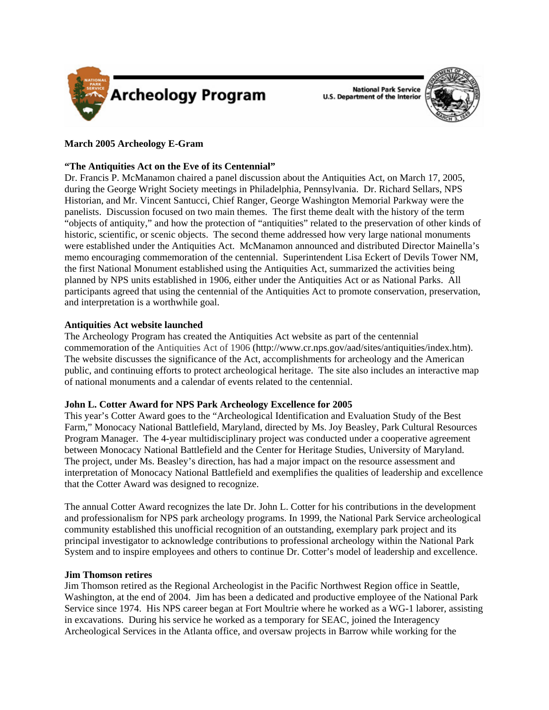



# **March 2005 Archeology E-Gram**

## **"The Antiquities Act on the Eve of its Centennial"**

Dr. Francis P. McManamon chaired a panel discussion about the Antiquities Act, on March 17, 2005, during the George Wright Society meetings in Philadelphia, Pennsylvania. Dr. Richard Sellars, NPS Historian, and Mr. Vincent Santucci, Chief Ranger, George Washington Memorial Parkway were the panelists. Discussion focused on two main themes. The first theme dealt with the history of the term "objects of antiquity," and how the protection of "antiquities" related to the preservation of other kinds of historic, scientific, or scenic objects. The second theme addressed how very large national monuments were established under the Antiquities Act. McManamon announced and distributed Director Mainella's memo encouraging commemoration of the centennial. Superintendent Lisa Eckert of Devils Tower NM, the first National Monument established using the Antiquities Act, summarized the activities being planned by NPS units established in 1906, either under the Antiquities Act or as National Parks. All participants agreed that using the centennial of the Antiquities Act to promote conservation, preservation, and interpretation is a worthwhile goal.

### **Antiquities Act website launched**

The Archeology Program has created the Antiquities Act website as part of the centennial commemoration of the Antiquities Act of 1906 (http://www.cr.nps.gov/aad/sites/antiquities/index.htm). The website discusses the significance of the Act, accomplishments for archeology and the American public, and continuing efforts to protect archeological heritage. The site also includes an interactive map of national monuments and a calendar of events related to the centennial.

### **John L. Cotter Award for NPS Park Archeology Excellence for 2005**

This year's Cotter Award goes to the "Archeological Identification and Evaluation Study of the Best Farm," Monocacy National Battlefield, Maryland, directed by Ms. Joy Beasley, Park Cultural Resources Program Manager. The 4-year multidisciplinary project was conducted under a cooperative agreement between Monocacy National Battlefield and the Center for Heritage Studies, University of Maryland. The project, under Ms. Beasley's direction, has had a major impact on the resource assessment and interpretation of Monocacy National Battlefield and exemplifies the qualities of leadership and excellence that the Cotter Award was designed to recognize.

The annual Cotter Award recognizes the late Dr. John L. Cotter for his contributions in the development and professionalism for NPS park archeology programs. In 1999, the National Park Service archeological community established this unofficial recognition of an outstanding, exemplary park project and its principal investigator to acknowledge contributions to professional archeology within the National Park System and to inspire employees and others to continue Dr. Cotter's model of leadership and excellence.

### **Jim Thomson retires**

Jim Thomson retired as the Regional Archeologist in the Pacific Northwest Region office in Seattle, Washington, at the end of 2004. Jim has been a dedicated and productive employee of the National Park Service since 1974. His NPS career began at Fort Moultrie where he worked as a WG-1 laborer, assisting in excavations. During his service he worked as a temporary for SEAC, joined the Interagency Archeological Services in the Atlanta office, and oversaw projects in Barrow while working for the